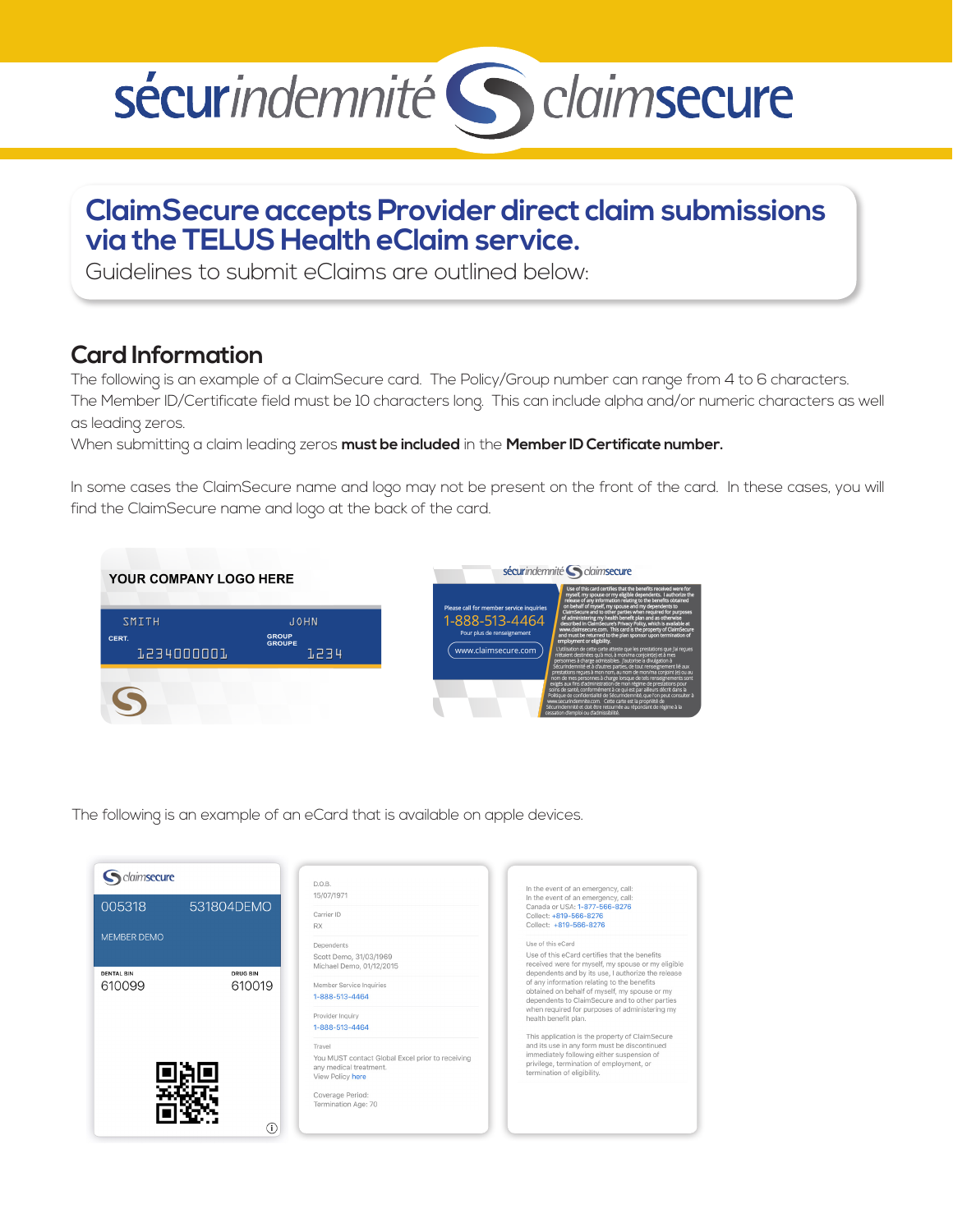# sécurindemnité S claimsecure

# **ClaimSecure accepts Provider direct claim submissions via the TELUS Health eClaim service.**

Guidelines to submit eClaims are outlined below:

## **Card Information**

The following is an example of a ClaimSecure card. The Policy/Group number can range from 4 to 6 characters. The Member ID/Certificate field must be 10 characters long. This can include alpha and/or numeric characters as well as leading zeros.

When submitting a claim leading zeros **must be included** in the **Member ID Certificate number.**

In some cases the ClaimSecure name and logo may not be present on the front of the card. In these cases, you will find the ClaimSecure name and logo at the back of the card.



The following is an example of an eCard that is available on apple devices.

| claimsecure<br>005318                                      | 531804DEMO | D.O.B.<br>15/07/1971<br>Carrier ID<br><b>RX</b>                                                                                                     | In the event of an emergency, call:<br>In the event of an emergency, call:<br>Canada or USA: 1-877-566-8276<br>Collect: +819-566-8276<br>Collect: +819-566-8276                                                                                                             |
|------------------------------------------------------------|------------|-----------------------------------------------------------------------------------------------------------------------------------------------------|-----------------------------------------------------------------------------------------------------------------------------------------------------------------------------------------------------------------------------------------------------------------------------|
| <b>MEMBER DEMO</b><br><b>DENTAL BIN</b><br><b>DRUG BIN</b> |            | Dependents<br>Scott Demo, 31/03/1969<br>Michael Demo, 01/12/2015                                                                                    | Use of this eCard<br>Use of this eCard certifies that the benefits<br>received were for myself, my spouse or my eligible<br>dependents and by its use, I authorize the release                                                                                              |
| 610099                                                     | 610019     | Member Service Inquiries<br>1-888-513-4464<br>Provider Inquiry<br>1-888-513-4464                                                                    | of any information relating to the benefits<br>obtained on behalf of myself, my spouse or my<br>dependents to ClaimSecure and to other parties<br>when required for purposes of administering my<br>health benefit plan.<br>This application is the property of ClaimSecure |
| O)                                                         |            | Travel<br>You MUST contact Global Excel prior to receiving<br>any medical treatment.<br>View Policy here<br>Coverage Period:<br>Termination Age: 70 | and its use in any form must be discontinued<br>immediately following either suspension of<br>privilege, termination of employment, or<br>termination of eligibility.                                                                                                       |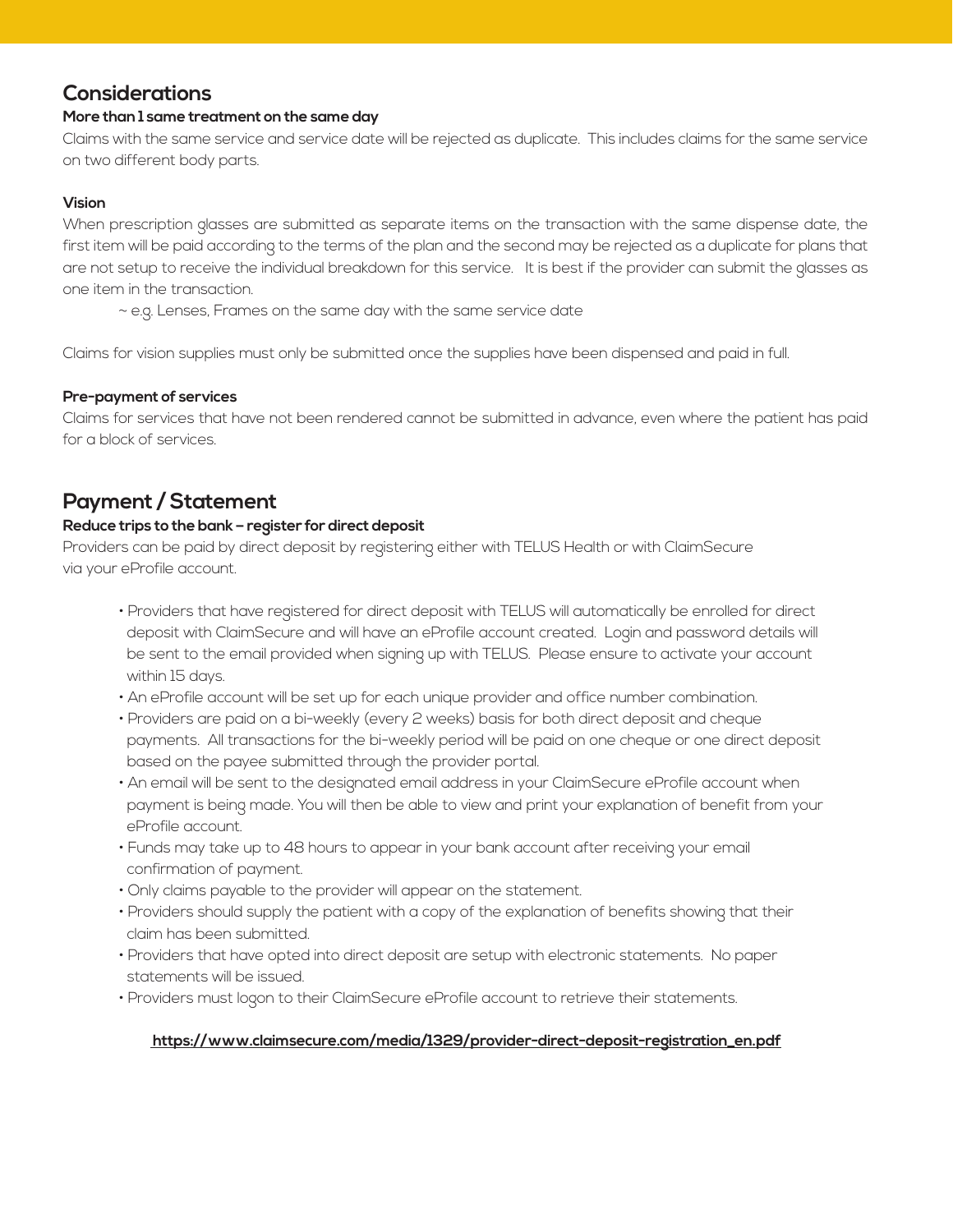## **Considerations**

#### **More than 1 same treatment on the same day**

Claims with the same service and service date will be rejected as duplicate. This includes claims for the same service on two different body parts.

#### **Vision**

When prescription glasses are submitted as separate items on the transaction with the same dispense date, the first item will be paid according to the terms of the plan and the second may be rejected as a duplicate for plans that are not setup to receive the individual breakdown for this service. It is best if the provider can submit the glasses as one item in the transaction.

~ e.g. Lenses, Frames on the same day with the same service date

Claims for vision supplies must only be submitted once the supplies have been dispensed and paid in full.

#### **Pre-payment of services**

Claims for services that have not been rendered cannot be submitted in advance, even where the patient has paid for a block of services.

## **Payment / Statement**

#### **Reduce trips to the bank – register for direct deposit**

Providers can be paid by direct deposit by registering either with TELUS Health or with ClaimSecure via your eProfile account.

- Providers that have registered for direct deposit with TELUS will automatically be enrolled for direct deposit with ClaimSecure and will have an eProfile account created. Login and password details will be sent to the email provided when signing up with TELUS. Please ensure to activate your account within 15 days.
- An eProfile account will be set up for each unique provider and office number combination.
- Providers are paid on a bi-weekly (every 2 weeks) basis for both direct deposit and cheque payments. All transactions for the bi-weekly period will be paid on one cheque or one direct deposit based on the payee submitted through the provider portal.
- An email will be sent to the designated email address in your ClaimSecure eProfile account when payment is being made. You will then be able to view and print your explanation of benefit from your eProfile account.
- Funds may take up to 48 hours to appear in your bank account after receiving your email confirmation of payment.
- Only claims payable to the provider will appear on the statement.
- Providers should supply the patient with a copy of the explanation of benefits showing that their claim has been submitted.
- Providers that have opted into direct deposit are setup with electronic statements. No paper statements will be issued.
- Providers must logon to their ClaimSecure eProfile account to retrieve their statements.

#### **[https://www.claimsecure.com/media/1329/provider-direct-deposit-registration\\_en.pdf](https://www.claimsecure.com/media/1329/provider-direct-deposit-registration_en.pdf)**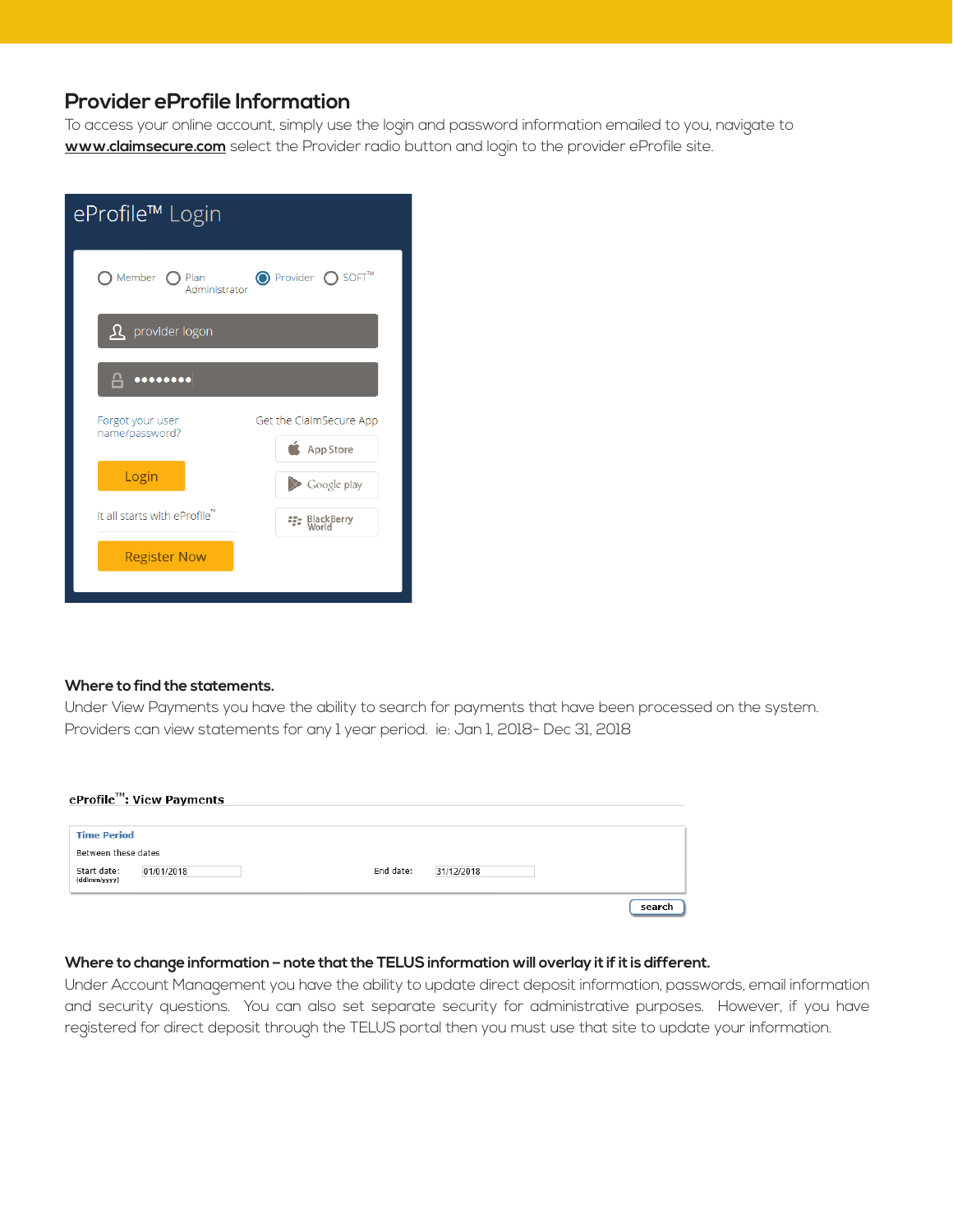### **Provider eProfile Information**

To access your online account, simply use the login and password information emailed to you, navigate to **www.claimsecure.com** select the Provider radio button and login to the provider eProfile site.

| eProfile™ Login                    |                                      |  |  |  |  |
|------------------------------------|--------------------------------------|--|--|--|--|
| Member<br>∩ Plan<br>Administrator  | O Provider O SOFT™                   |  |  |  |  |
| <b>R</b> provider logon            |                                      |  |  |  |  |
| $\overline{a}$                     |                                      |  |  |  |  |
| Forgot your user<br>name/password? | Get the ClaimSecure App<br>App Store |  |  |  |  |
| Login                              | Google play                          |  |  |  |  |
| It all starts with eProfile"       | <b>ER</b> BlackBerry                 |  |  |  |  |
| <b>Register Now</b>                |                                      |  |  |  |  |
|                                    |                                      |  |  |  |  |

#### **Where to find the statements.**

Under View Payments you have the ability to search for payments that have been processed on the system. Providers can view statements for any 1 year period. ie: Jan 1, 2018- Dec 31, 2018

|                             | eProfile™: View Payments |                         |        |
|-----------------------------|--------------------------|-------------------------|--------|
| <b>Time Period</b>          |                          |                         |        |
| Between these dates         |                          |                         |        |
| Start date:<br>(dd/mm/yyyy) | 01/01/2018               | End date:<br>31/12/2018 |        |
|                             |                          |                         | search |

#### **Where to change information – note that the TELUS information will overlay it if it is different.**

Under Account Management you have the ability to update direct deposit information, passwords, email information and security questions. You can also set separate security for administrative purposes. However, if you have registered for direct deposit through the TELUS portal then you must use that site to update your information.